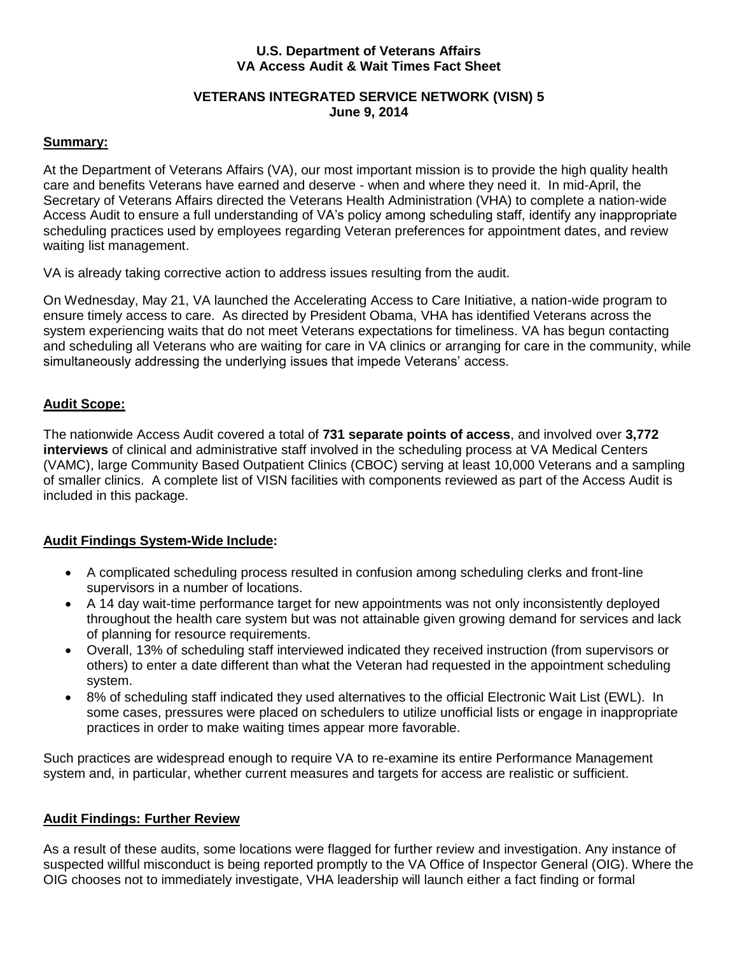## **U.S. Department of Veterans Affairs VA Access Audit & Wait Times Fact Sheet**

## **VETERANS INTEGRATED SERVICE NETWORK (VISN) 5 June 9, 2014**

## **Summary:**

At the Department of Veterans Affairs (VA), our most important mission is to provide the high quality health care and benefits Veterans have earned and deserve - when and where they need it. In mid-April, the Secretary of Veterans Affairs directed the Veterans Health Administration (VHA) to complete a nation-wide Access Audit to ensure a full understanding of VA's policy among scheduling staff, identify any inappropriate scheduling practices used by employees regarding Veteran preferences for appointment dates, and review waiting list management.

VA is already taking corrective action to address issues resulting from the audit.

On Wednesday, May 21, VA launched the Accelerating Access to Care Initiative, a nation-wide program to ensure timely access to care. As directed by President Obama, VHA has identified Veterans across the system experiencing waits that do not meet Veterans expectations for timeliness. VA has begun contacting and scheduling all Veterans who are waiting for care in VA clinics or arranging for care in the community, while simultaneously addressing the underlying issues that impede Veterans' access.

## **Audit Scope:**

The nationwide Access Audit covered a total of **731 separate points of access**, and involved over **3,772 interviews** of clinical and administrative staff involved in the scheduling process at VA Medical Centers (VAMC), large Community Based Outpatient Clinics (CBOC) serving at least 10,000 Veterans and a sampling of smaller clinics. A complete list of VISN facilities with components reviewed as part of the Access Audit is included in this package.

# **Audit Findings System-Wide Include:**

- A complicated scheduling process resulted in confusion among scheduling clerks and front-line supervisors in a number of locations.
- A 14 day wait-time performance target for new appointments was not only inconsistently deployed throughout the health care system but was not attainable given growing demand for services and lack of planning for resource requirements.
- Overall, 13% of scheduling staff interviewed indicated they received instruction (from supervisors or others) to enter a date different than what the Veteran had requested in the appointment scheduling system.
- 8% of scheduling staff indicated they used alternatives to the official Electronic Wait List (EWL). In some cases, pressures were placed on schedulers to utilize unofficial lists or engage in inappropriate practices in order to make waiting times appear more favorable.

Such practices are widespread enough to require VA to re-examine its entire Performance Management system and, in particular, whether current measures and targets for access are realistic or sufficient.

# **Audit Findings: Further Review**

As a result of these audits, some locations were flagged for further review and investigation. Any instance of suspected willful misconduct is being reported promptly to the VA Office of Inspector General (OIG). Where the OIG chooses not to immediately investigate, VHA leadership will launch either a fact finding or formal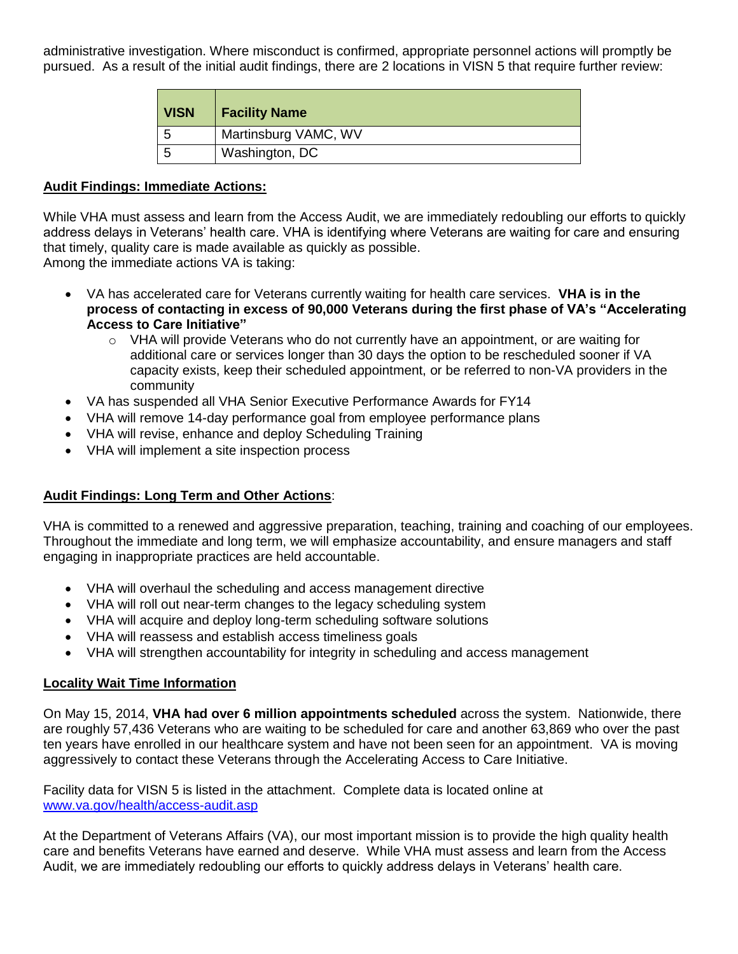administrative investigation. Where misconduct is confirmed, appropriate personnel actions will promptly be pursued. As a result of the initial audit findings, there are 2 locations in VISN 5 that require further review:

| <b>VISN</b> | <b>Facility Name</b> |
|-------------|----------------------|
| b           | Martinsburg VAMC, WV |
| 5           | Washington, DC       |

#### **Audit Findings: Immediate Actions:**

While VHA must assess and learn from the Access Audit, we are immediately redoubling our efforts to quickly address delays in Veterans' health care. VHA is identifying where Veterans are waiting for care and ensuring that timely, quality care is made available as quickly as possible.

Among the immediate actions VA is taking:

- VA has accelerated care for Veterans currently waiting for health care services. **VHA is in the process of contacting in excess of 90,000 Veterans during the first phase of VA's "Accelerating Access to Care Initiative"**
	- $\circ$  VHA will provide Veterans who do not currently have an appointment, or are waiting for additional care or services longer than 30 days the option to be rescheduled sooner if VA capacity exists, keep their scheduled appointment, or be referred to non-VA providers in the community
- VA has suspended all VHA Senior Executive Performance Awards for FY14
- VHA will remove 14-day performance goal from employee performance plans
- VHA will revise, enhance and deploy Scheduling Training
- VHA will implement a site inspection process

## **Audit Findings: Long Term and Other Actions**:

VHA is committed to a renewed and aggressive preparation, teaching, training and coaching of our employees. Throughout the immediate and long term, we will emphasize accountability, and ensure managers and staff engaging in inappropriate practices are held accountable.

- VHA will overhaul the scheduling and access management directive
- VHA will roll out near-term changes to the legacy scheduling system
- VHA will acquire and deploy long-term scheduling software solutions
- VHA will reassess and establish access timeliness goals
- VHA will strengthen accountability for integrity in scheduling and access management

## **Locality Wait Time Information**

On May 15, 2014, **VHA had over 6 million appointments scheduled** across the system. Nationwide, there are roughly 57,436 Veterans who are waiting to be scheduled for care and another 63,869 who over the past ten years have enrolled in our healthcare system and have not been seen for an appointment. VA is moving aggressively to contact these Veterans through the Accelerating Access to Care Initiative.

Facility data for VISN 5 is listed in the attachment. Complete data is located online at [www.va.gov/health/access-audit.asp](http://www.va.gov/health/access-audit.asp)

At the Department of Veterans Affairs (VA), our most important mission is to provide the high quality health care and benefits Veterans have earned and deserve. While VHA must assess and learn from the Access Audit, we are immediately redoubling our efforts to quickly address delays in Veterans' health care.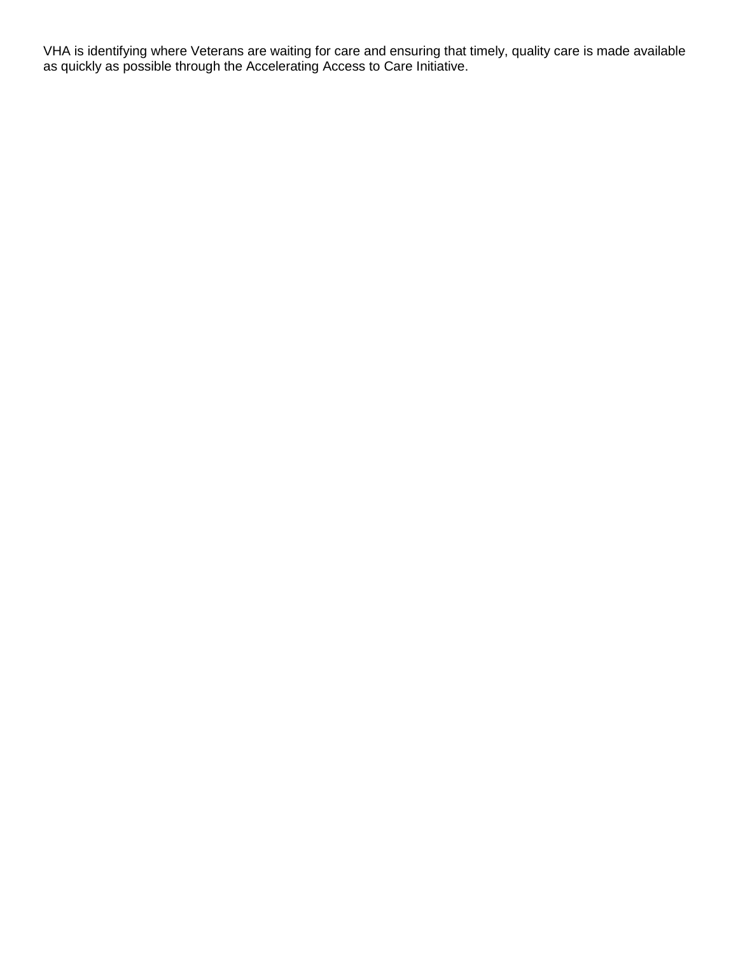VHA is identifying where Veterans are waiting for care and ensuring that timely, quality care is made available as quickly as possible through the Accelerating Access to Care Initiative.